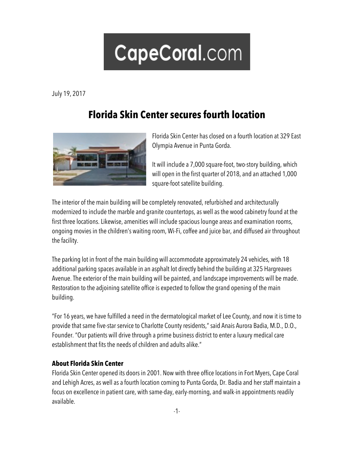## CapeCoral.com

July 19, 2017

## **Florida Skin Center secures fourth location**



Florida Skin Center has closed on a fourth location at 329 East Olympia Avenue in Punta Gorda.

It will include a 7,000 square-foot, two-story building, which will open in the first quarter of 2018, and an attached 1,000 square-foot satellite building.

The interior of the main building will be completely renovated, refurbished and architecturally modernized to include the marble and granite countertops, as well as the wood cabinetry found at the first three locations. Likewise, amenities will include spacious lounge areas and examination rooms, ongoing movies in the children's waiting room, Wi-Fi, coffee and juice bar, and diffused air throughout the facility.

The parking lot in front of the main building will accommodate approximately 24 vehicles, with 18 additional parking spaces available in an asphalt lot directly behind the building at 325 Hargreaves Avenue. The exterior of the main building will be painted, and landscape improvements will be made. Restoration to the adjoining satellite office is expected to follow the grand opening of the main building.

"For 16 years, we have fulfilled a need in the dermatological market of Lee County, and now it is time to provide that same five-star service to Charlotte County residents," said Anais Aurora Badia, M.D., D.O., Founder. "Our patients will drive through a prime business district to enter a luxury medical care establishment that fits the needs of children and adults alike."

## **About Florida Skin Center**

Florida Skin Center opened its doors in 2001. Now with three office locations in Fort Myers, Cape Coral and Lehigh Acres, as well as a fourth location coming to Punta Gorda, Dr. Badia and her staff maintain a focus on excellence in patient care, with same-day, early-morning, and walk-in appointments readily available.